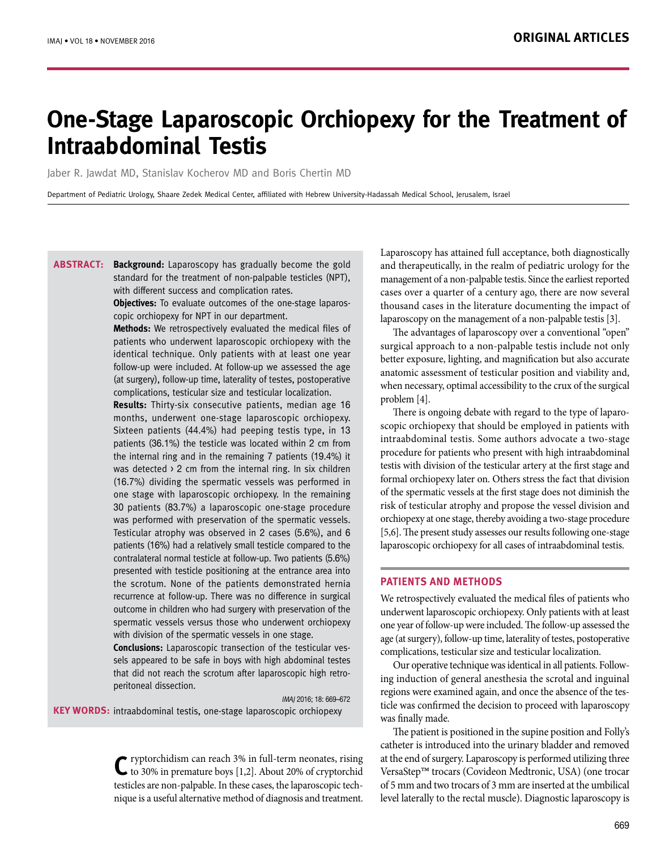# **One-Stage Laparoscopic Orchiopexy for the Treatment of Intraabdominal Testis**

Jaber R. Jawdat MD, Stanislav Kocherov MD and Boris Chertin MD

Department of Pediatric Urology, Shaare Zedek Medical Center, affiliated with Hebrew University-Hadassah Medical School, Jerusalem, Israel

**ABSTRACT:** Background: Laparoscopy has gradually become the gold standard for the treatment of non-palpable testicles (NPT), with different success and complication rates.

> **Objectives:** To evaluate outcomes of the one-stage laparoscopic orchiopexy for NPT in our department.

> **Methods:** We retrospectively evaluated the medical files of patients who underwent laparoscopic orchiopexy with the identical technique. Only patients with at least one year follow-up were included. At follow-up we assessed the age (at surgery), follow-up time, laterality of testes, postoperative complications, testicular size and testicular localization.

> **Results:** Thirty-six consecutive patients, median age 16 months, underwent one-stage laparoscopic orchiopexy. Sixteen patients (44.4%) had peeping testis type, in 13 patients (36.1%) the testicle was located within 2 cm from the internal ring and in the remaining 7 patients (19.4%) it was detected > 2 cm from the internal ring. In six children (16.7%) dividing the spermatic vessels was performed in one stage with laparoscopic orchiopexy. In the remaining 30 patients (83.7%) a laparoscopic one-stage procedure was performed with preservation of the spermatic vessels. Testicular atrophy was observed in 2 cases (5.6%), and 6 patients (16%) had a relatively small testicle compared to the contralateral normal testicle at follow-up. Two patients (5.6%) presented with testicle positioning at the entrance area into the scrotum. None of the patients demonstrated hernia recurrence at follow-up. There was no difference in surgical outcome in children who had surgery with preservation of the spermatic vessels versus those who underwent orchiopexy with division of the spermatic vessels in one stage.

> **Conclusions:** Laparoscopic transection of the testicular vessels appeared to be safe in boys with high abdominal testes that did not reach the scrotum after laparoscopic high retroperitoneal dissection.

 IMAJ 2016; 18: 669–672 **KEY WORDS:** intraabdominal testis, one-stage laparoscopic orchiopexy

> C ryptorchidism can reach 3% in full-term neonates, rising to 30% in premature boys [1,2]. About 20% of cryptorchid testicles are non-palpable. In these cases, the laparoscopic technique is a useful alternative method of diagnosis and treatment.

Laparoscopy has attained full acceptance, both diagnostically and therapeutically, in the realm of pediatric urology for the management of a non-palpable testis. Since the earliest reported cases over a quarter of a century ago, there are now several thousand cases in the literature documenting the impact of laparoscopy on the management of a non-palpable testis [3].

The advantages of laparoscopy over a conventional "open" surgical approach to a non-palpable testis include not only better exposure, lighting, and magnification but also accurate anatomic assessment of testicular position and viability and, when necessary, optimal accessibility to the crux of the surgical problem [4].

There is ongoing debate with regard to the type of laparoscopic orchiopexy that should be employed in patients with intraabdominal testis. Some authors advocate a two-stage procedure for patients who present with high intraabdominal testis with division of the testicular artery at the first stage and formal orchiopexy later on. Others stress the fact that division of the spermatic vessels at the first stage does not diminish the risk of testicular atrophy and propose the vessel division and orchiopexy at one stage, thereby avoiding a two-stage procedure [5,6]. The present study assesses our results following one-stage laparoscopic orchiopexy for all cases of intraabdominal testis.

## **PATIENTS AND METHODS**

We retrospectively evaluated the medical files of patients who underwent laparoscopic orchiopexy. Only patients with at least one year of follow-up were included. The follow-up assessed the age (at surgery), follow-up time, laterality of testes, postoperative complications, testicular size and testicular localization.

Our operative technique was identical in all patients. Following induction of general anesthesia the scrotal and inguinal regions were examined again, and once the absence of the testicle was confirmed the decision to proceed with laparoscopy was finally made.

The patient is positioned in the supine position and Folly's catheter is introduced into the urinary bladder and removed at the end of surgery. Laparoscopy is performed utilizing three VersaStep™trocars (Covideon Medtronic, USA) (one trocar of 5 mm and two trocars of 3 mm are inserted at the umbilical level laterally to the rectal muscle). Diagnostic laparoscopy is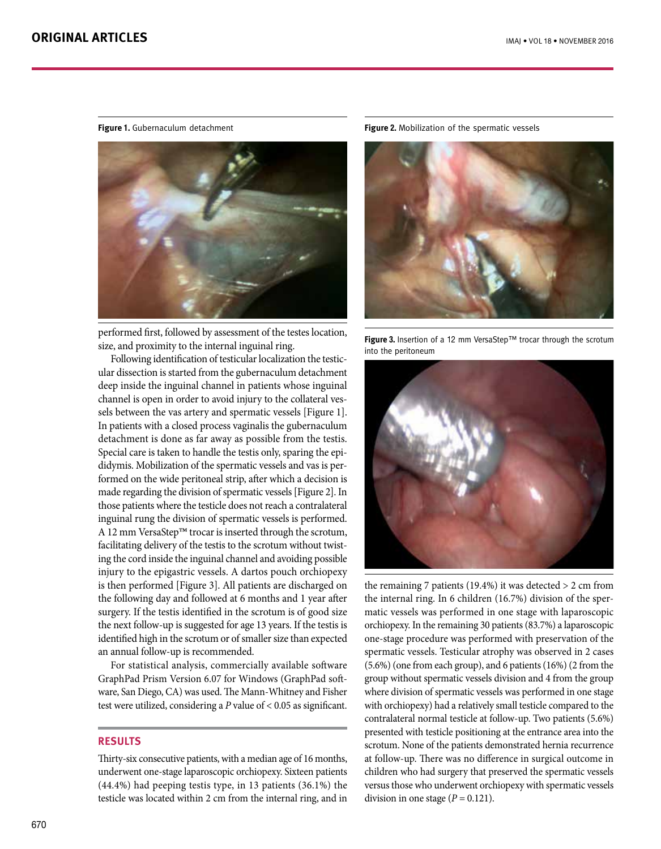

performed first, followed by assessment of the testes location, size, and proximity to the internal inguinal ring.

Following identification of testicular localization the testicular dissection is started from the gubernaculum detachment deep inside the inguinal channel in patients whose inguinal channel is open in order to avoid injury to the collateral vessels between the vas artery and spermatic vessels [Figure 1]. In patients with a closed process vaginalis the gubernaculum detachment is done as far away as possible from the testis. Special care is taken to handle the testis only, sparing the epididymis. Mobilization of the spermatic vessels and vas is performed on the wide peritoneal strip, after which a decision is made regarding the division of spermatic vessels [Figure 2]. In those patients where the testicle does not reach a contralateral inguinal rung the division of spermatic vessels is performed. A 12 mm VersaStep™ trocar is inserted through the scrotum, facilitating delivery of the testis to the scrotum without twisting the cord inside the inguinal channel and avoiding possible injury to the epigastric vessels. A dartos pouch orchiopexy is then performed [Figure 3]. All patients are discharged on the following day and followed at 6 months and 1 year after surgery. If the testis identified in the scrotum is of good size the next follow-up is suggested for age 13 years. If the testis is identified high in the scrotum or of smaller size than expected an annual follow-up is recommended.

For statistical analysis, commercially available software GraphPad Prism Version 6.07 for Windows (GraphPad software, San Diego, CA) was used. The Mann-Whitney and Fisher test were utilized, considering a *P* value of < 0.05 as significant.

## **RESULTS**

Thirty-six consecutive patients, with a median age of 16 months, underwent one-stage laparoscopic orchiopexy. Sixteen patients (44.4%) had peeping testis type, in 13 patients (36.1%) the testicle was located within 2 cm from the internal ring, and in

**Figure 1.** Gubernaculum detachment **Figure 2.** Mobilization of the spermatic vessels



**Figure 3.** Insertion of a 12 mm VersaStep™ trocar through the scrotum into the peritoneum



the remaining 7 patients (19.4%) it was detected > 2 cm from the internal ring. In 6 children (16.7%) division of the spermatic vessels was performed in one stage with laparoscopic orchiopexy. In the remaining 30 patients (83.7%) a laparoscopic one-stage procedure was performed with preservation of the spermatic vessels. Testicular atrophy was observed in 2 cases (5.6%) (one from each group), and 6 patients (16%) (2 from the group without spermatic vessels division and 4 from the group where division of spermatic vessels was performed in one stage with orchiopexy) had a relatively small testicle compared to the contralateral normal testicle at follow-up. Two patients (5.6%) presented with testicle positioning at the entrance area into the scrotum. None of the patients demonstrated hernia recurrence at follow-up. There was no difference in surgical outcome in children who had surgery that preserved the spermatic vessels versus those who underwent orchiopexy with spermatic vessels division in one stage  $(P = 0.121)$ .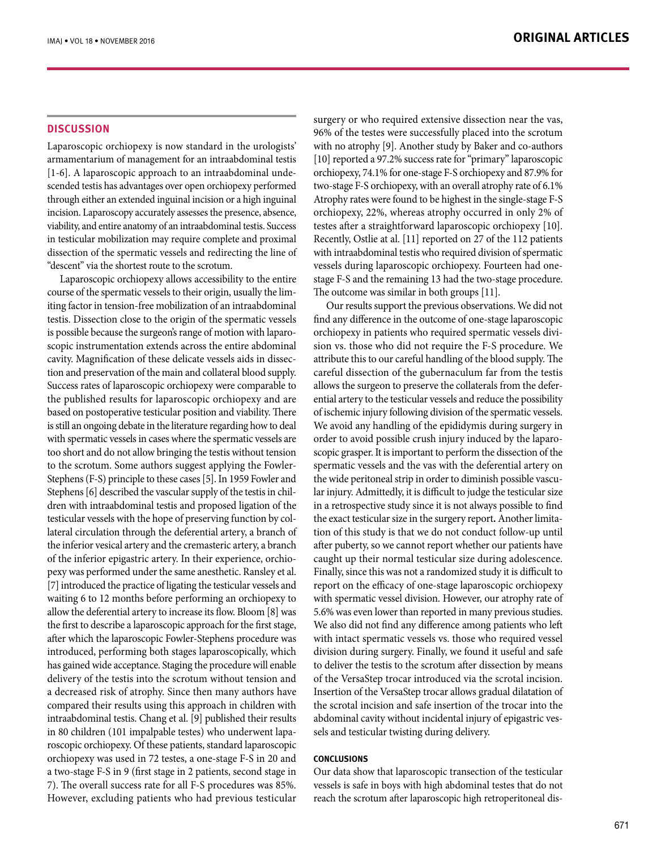### **DISCUSSION**

Laparoscopic orchiopexy is now standard in the urologists' armamentarium of management for an intraabdominal testis [1-6]. A laparoscopic approach to an intraabdominal undescended testis has advantages over open orchiopexy performed through either an extended inguinal incision or a high inguinal incision. Laparoscopy accurately assesses the presence, absence, viability, and entire anatomy of an intraabdominal testis. Success in testicular mobilization may require complete and proximal dissection of the spermatic vessels and redirecting the line of "descent" via the shortest route to the scrotum.

Laparoscopic orchiopexy allows accessibility to the entire course of the spermatic vessels to their origin, usually the limiting factor in tension-free mobilization of an intraabdominal testis. Dissection close to the origin of the spermatic vessels is possible because the surgeon's range of motion with laparoscopic instrumentation extends across the entire abdominal cavity. Magnification of these delicate vessels aids in dissection and preservation of the main and collateral blood supply. Success rates of laparoscopic orchiopexy were comparable to the published results for laparoscopic orchiopexy and are based on postoperative testicular position and viability. There is still an ongoing debate in the literature regarding how to deal with spermatic vessels in cases where the spermatic vessels are too short and do not allow bringing the testis without tension to the scrotum. Some authors suggest applying the Fowler-Stephens (F-S) principle to these cases [5]. In 1959 Fowler and Stephens [6] described the vascular supply of the testis in children with intraabdominal testis and proposed ligation of the testicular vessels with the hope of preserving function by collateral circulation through the deferential artery, a branch of the inferior vesical artery and the cremasteric artery, a branch of the inferior epigastric artery. In their experience, orchiopexy was performed under the same anesthetic. Ransley et al. [7] introduced the practice of ligating the testicular vessels and waiting 6 to 12 months before performing an orchiopexy to allow the deferential artery to increase its flow. Bloom [8] was the first to describe a laparoscopic approach for the first stage, after which the laparoscopic Fowler-Stephens procedure was introduced, performing both stages laparoscopically, which has gained wide acceptance. Staging the procedure will enable delivery of the testis into the scrotum without tension and a decreased risk of atrophy. Since then many authors have compared their results using this approach in children with intraabdominal testis. Chang et al. [9] published their results in 80 children (101 impalpable testes) who underwent laparoscopic orchiopexy. Of these patients, standard laparoscopic orchiopexy was used in 72 testes, a one-stage F-S in 20 and a two-stage F-S in 9 (first stage in 2 patients, second stage in 7). The overall success rate for all F-S procedures was 85%. However, excluding patients who had previous testicular surgery or who required extensive dissection near the vas, 96% of the testes were successfully placed into the scrotum with no atrophy [9]. Another study by Baker and co-authors [10] reported a 97.2% success rate for "primary" laparoscopic orchiopexy, 74.1% for one-stage F-S orchiopexy and 87.9% for two-stage F-S orchiopexy, with an overall atrophy rate of 6.1% Atrophy rates were found to be highest in the single-stage F-S orchiopexy, 22%, whereas atrophy occurred in only 2% of testes after a straightforward laparoscopic orchiopexy [10]. Recently, Ostlie at al. [11] reported on 27 of the 112 patients with intraabdominal testis who required division of spermatic vessels during laparoscopic orchiopexy. Fourteen had onestage F-S and the remaining 13 had the two-stage procedure. The outcome was similar in both groups [11].

Our results support the previous observations. We did not find any difference in the outcome of one-stage laparoscopic orchiopexy in patients who required spermatic vessels division vs. those who did not require the F-S procedure. We attribute this to our careful handling of the blood supply. The careful dissection of the gubernaculum far from the testis allows the surgeon to preserve the collaterals from the deferential artery to the testicular vessels and reduce the possibility of ischemic injury following division of the spermatic vessels. We avoid any handling of the epididymis during surgery in order to avoid possible crush injury induced by the laparoscopic grasper. It is important to perform the dissection of the spermatic vessels and the vas with the deferential artery on the wide peritoneal strip in order to diminish possible vascular injury. Admittedly, it is difficult to judge the testicular size in a retrospective study since it is not always possible to find the exact testicular size in the surgery report**.** Another limitation of this study is that we do not conduct follow-up until after puberty, so we cannot report whether our patients have caught up their normal testicular size during adolescence. Finally, since this was not a randomized study it is difficult to report on the efficacy of one-stage laparoscopic orchiopexy with spermatic vessel division. However, our atrophy rate of 5.6% was even lower than reported in many previous studies. We also did not find any difference among patients who left with intact spermatic vessels vs. those who required vessel division during surgery. Finally, we found it useful and safe to deliver the testis to the scrotum after dissection by means of the VersaStep trocar introduced via the scrotal incision. Insertion of the VersaStep trocar allows gradual dilatation of the scrotal incision and safe insertion of the trocar into the abdominal cavity without incidental injury of epigastric vessels and testicular twisting during delivery.

## **Conclusions**

Our data show that laparoscopic transection of the testicular vessels is safe in boys with high abdominal testes that do not reach the scrotum after laparoscopic high retroperitoneal dis